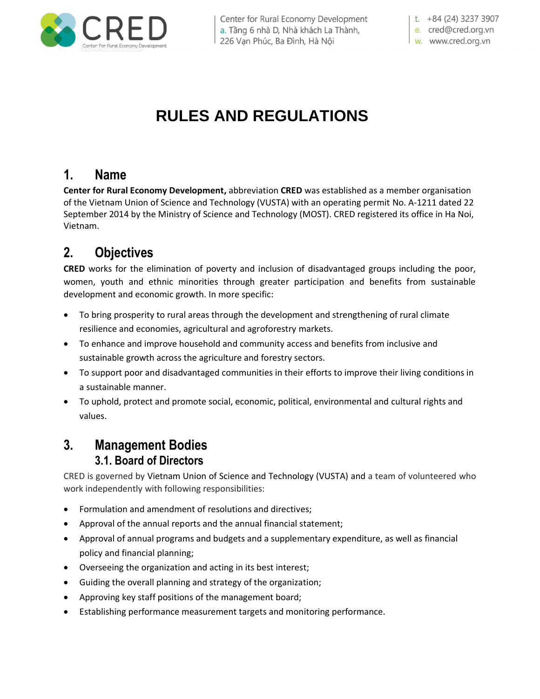

Center for Rural Economy Development a. Tầng 6 nhà D, Nhà khách La Thành, 226 Vạn Phúc, Ba Đình, Hà Nội

t. +84 (24) 3237 3907 e. cred@cred.org.vn

w. www.cred.org.vn

# **RULES AND REGULATIONS**

## **1. Name**

**Center for Rural Economy Development,** abbreviation **CRED** was established as a member organisation of the Vietnam Union of Science and Technology (VUSTA) with an operating permit No. A-1211 dated 22 September 2014 by the Ministry of Science and Technology (MOST). CRED registered its office in Ha Noi, Vietnam.

## **2. Objectives**

**CRED** works for the elimination of poverty and inclusion of disadvantaged groups including the poor, women, youth and ethnic minorities through greater participation and benefits from sustainable development and economic growth. In more specific:

- To bring prosperity to rural areas through the development and strengthening of rural climate resilience and economies, agricultural and agroforestry markets.
- To enhance and improve household and community access and benefits from inclusive and sustainable growth across the agriculture and forestry sectors.
- To support poor and disadvantaged communities in their efforts to improve their living conditions in a sustainable manner.
- To uphold, protect and promote social, economic, political, environmental and cultural rights and values.

## **3. Management Bodies 3.1. Board of Directors**

CRED is governed by Vietnam Union of Science and Technology (VUSTA) and a team of volunteered who work independently with following responsibilities:

- Formulation and amendment of resolutions and directives;
- Approval of the annual reports and the annual financial statement;
- Approval of annual programs and budgets and a supplementary expenditure, as well as financial policy and financial planning;
- Overseeing the organization and acting in its best interest;
- Guiding the overall planning and strategy of the organization;
- Approving key staff positions of the management board;
- Establishing performance measurement targets and monitoring performance.